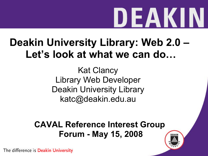#### **Deakin University Library: Web 2.0 – Let's look at what we can do…**

Kat Clancy Library Web Developer Deakin University Library katc@deakin.edu.au

**CAVAL Reference Interest Group Forum - May 15, 2008**

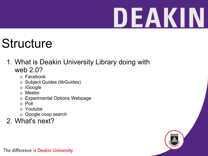### **Structure**

- 1. What is Deakin University Library doing with web 2.0?
	- Facebook
	- o Subject Guides (libGuides)
	- iGoogle
	- Meebo
	- Experimental Options Webpage
	- Poll
	- Youtube
	- Google coop search

#### 2. What's next?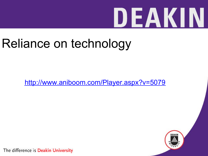### Reliance on technology

<http://www.aniboom.com/Player.aspx?v=5079>

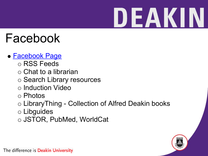### Facebook

#### [Facebook Page](http://www.facebook.com/pages/Deakin-University-Library/6219133159)

- o RSS Feeds
- $\circ$  Chat to a librarian
- o Search Library resources
- o Induction Video
- Photos
- o LibraryThing Collection of Alfred Deakin books
- Libguides
- JSTOR, PubMed, WorldCat

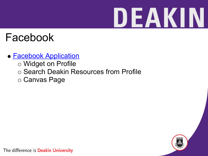#### Facebook

#### **• [Facebook Application](http://apps.facebook.com/deakinlibrary/)**

- Widget on Profile
- o Search Deakin Resources from Profile
- Canvas Page

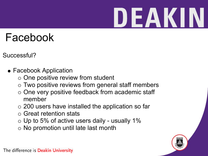#### Facebook

- Successful?
	- Facebook Application
		- $\circ$  One positive review from student
		- Two positive reviews from general staff members
		- $\circ$  One very positive feedback from academic staff member
		- 200 users have installed the application so far
		- Great retention stats
		- $\circ$  Up to 5% of active users daily usually 1%
		- $\circ$  No promotion until late last month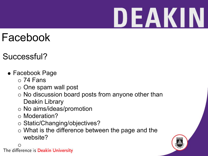#### Facebook

- Successful?
	- Facebook Page
		- $\circ$  74 Fans
		- $\circ$  One spam wall post
		- $\circ$  No discussion board posts from anyone other than Deakin Library
		- o No aims/ideas/promotion
		- o Moderation?
		- o Static/Changing/objectives?
		- What is the difference between the page and the website?

 $\bigcirc$ The difference is Deakin University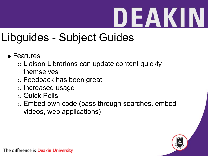### DEAKII

### Libguides - Subject Guides

- Features
	- Liaison Librarians can update content quickly themselves
	- Feedback has been great
	- $\circ$  Increased usage
	- Quick Polls
	- Embed own code (pass through searches, embed videos, web applications)

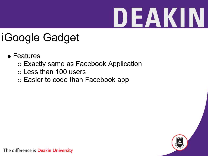#### iGoogle Gadget

- Features
	- Exactly same as Facebook Application
	- Less than 100 users
	- o Easier to code than Facebook app

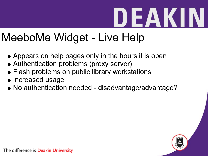### MeeboMe Widget - Live Help

- Appears on help pages only in the hours it is open
- Authentication problems (proxy server)
- Flash problems on public library workstations
- Increased usage
- No authentication needed disadvantage/advantage?

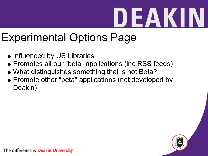#### Experimental Options Page

- Influenced by US Libraries
- Promotes all our "beta" applications (inc RSS feeds)
- What distinguishes something that is not Beta?
- Promote other "beta" applications (not developed by Deakin)

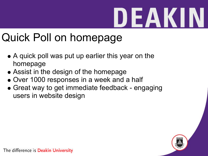### Quick Poll on homepage

- A quick poll was put up earlier this year on the homepage
- Assist in the design of the homepage
- Over 1000 responses in a week and a half
- Great way to get immediate feedback engaging users in website design

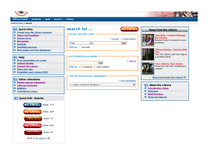

#### Library home: students : staff : alumni : visitors

#### **Deakin home > Library**

| <b>D</b> , Quick links<br><b>El Create your My Library account</b>                                                                                                | search for                                                                                 | <b>My Library</b>             | <b>News from the Library</b>                                                                                                              |
|-------------------------------------------------------------------------------------------------------------------------------------------------------------------|--------------------------------------------------------------------------------------------|-------------------------------|-------------------------------------------------------------------------------------------------------------------------------------------|
| <b>El Hours and locations</b><br><b>D</b> Online forms<br><b>E</b> Borrowing<br><b>Endnote</b><br><b>D</b> Disability services<br>■ New books and trial databases | -books, journals, dvds<br>$\div$<br>Title<br>limit to: $\Box$ journals                     | > encore > more options<br>GO | <b>Live Help - Instant Message</b><br>the Library<br>Receive instant answers to your<br>questions<br><b>Library Rovers - Here to Help</b> |
| $\Box$ Help<br><b>■</b> Find information on a topic<br><b>El Subject Guides</b>                                                                                   | -unit materials e.g. AIA103<br>GO                                                          | > reserve                     | You<br>Tour the Library with the help of<br>a Student Rover<br>Your Library. Your Space.                                                  |
| <b>El</b> Contact the Library<br><b>E</b> Have your say<br><b>El Forgotten your Library PIN?</b>                                                                  | limit to: $\ominus$ e-readings $\ominus$ exam-papers<br>articles from journals, newspapers |                               | Check out the new introductory<br>vodcast.<br>More news from the Library                                                                  |
| <b>D</b> Other collections<br><b>Deakin special collections</b><br><b>■</b> Libraries Australia<br><b>E</b> BONUS+<br><b>■ Interlibrary Loans</b>                 | --select a general database--                                                              | > more databases<br>$\div$    | About the Library<br><b>Introductory Video</b><br>$\geq$<br>Welcome<br>⊵<br>$\geq$<br><b>Staff directory</b>                              |
| <b>Quick Poll - Results</b><br>m                                                                                                                                  |                                                                                            |                               | <b>Facts and figures</b><br>$\geq$                                                                                                        |
| <b>My Library</b><br>Votes: 773                                                                                                                                   |                                                                                            |                               |                                                                                                                                           |
| <b>My Library</b><br><b>Votes: 269</b>                                                                                                                            |                                                                                            |                               |                                                                                                                                           |
| Votes: 73<br><b>My Library</b>                                                                                                                                    |                                                                                            |                               |                                                                                                                                           |
| <b>My Library</b><br>Votes: 420                                                                                                                                   |                                                                                            |                               |                                                                                                                                           |
| Votes: 94<br><b>My Library</b>                                                                                                                                    |                                                                                            |                               |                                                                                                                                           |
| What is My Library?                                                                                                                                               |                                                                                            |                               |                                                                                                                                           |

THE THINK IS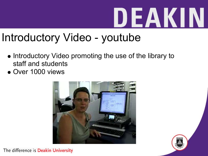#### Introductory Video - youtube

- Introductory Video promoting the use of the library to staff and students
- Over 1000 views



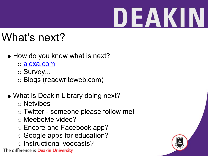### What's next?

- How do you know what is next?
	- o [alexa.com](http://alexa.com/)
	- o Survey...
	- Blogs (readwriteweb.com)
- What is Deakin Library doing next?
	- Netvibes
	- Twitter someone please follow me!
	- o MeeboMe video?
	- Encore and Facebook app?
	- Google apps for education?
	- o Instructional vodcasts?